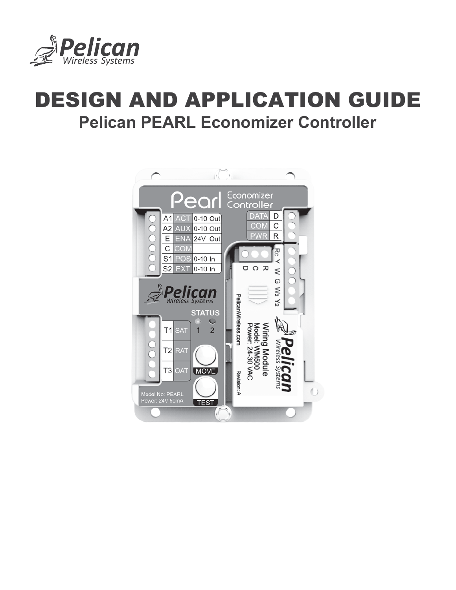

# DESIGN AND APPLICATION GUIDE **Pelican PEARL Economizer Controller**

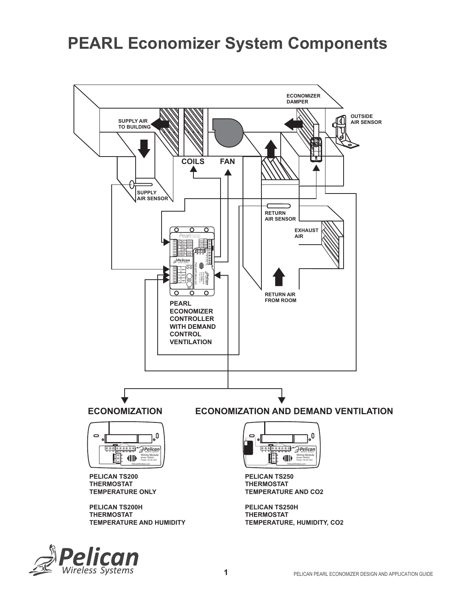# **PEARL Economizer System Components**



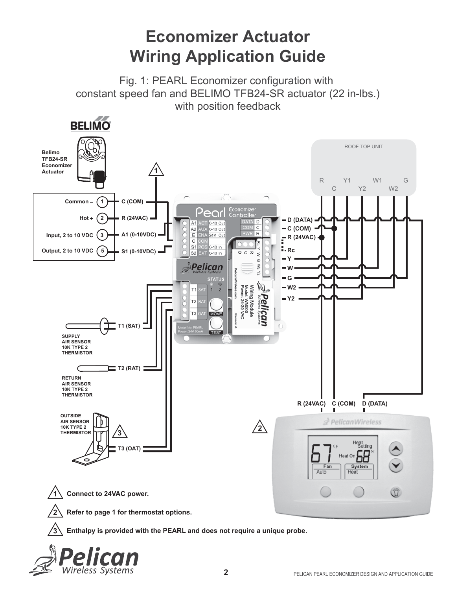# **Economizer Actuator Wiring Application Guide**

Fig. 1: PEARL Economizer configuration with constant speed fan and BELIMO TFB24-SR actuator (22 in-lbs.) with position feedback



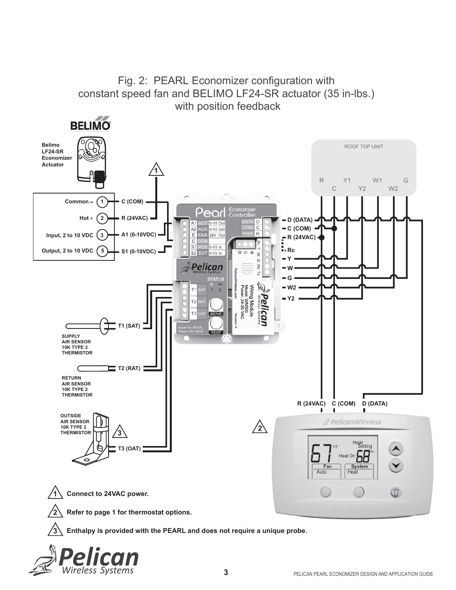

### Fig. 2: PEARL Economizer configuration with constant speed fan and BELIMO LF24-SR actuator (35 in-lbs.)

Wireless Svstems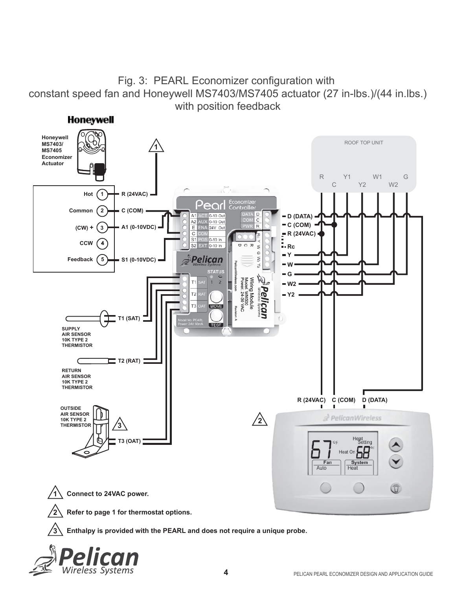### Fig. 3: PEARL Economizer configuration with constant speed fan and Honeywell MS7403/MS7405 actuator (27 in-lbs.)/(44 in.lbs.) with position feedback



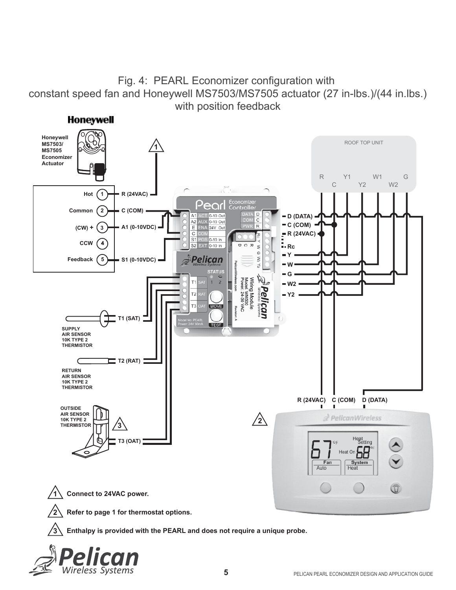### Fig. 4: PEARL Economizer configuration with constant speed fan and Honeywell MS7503/MS7505 actuator (27 in-lbs.)/(44 in.lbs.) with position feedback



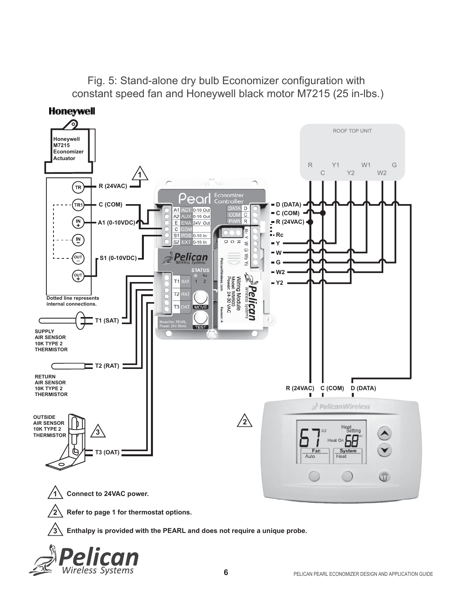Fig. 5: Stand-alone dry bulb Economizer configuration with constant speed fan and Honeywell black motor M7215 (25 in-lbs.)



Wireless Svstems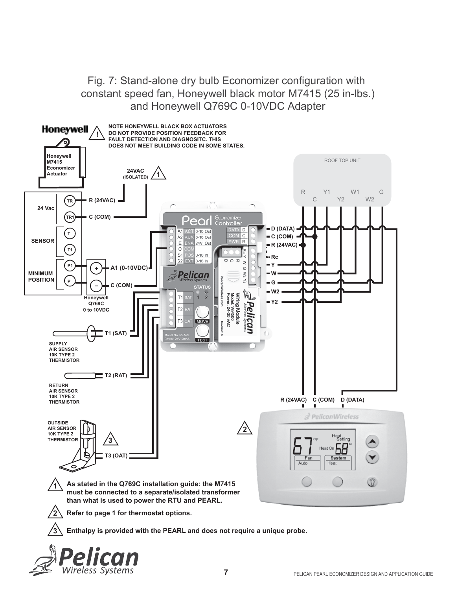Fig. 7: Stand-alone dry bulb Economizer configuration with constant speed fan, Honeywell black motor M7415 (25 in-lbs.) and Honeywell Q769C 0-10VDC Adapter



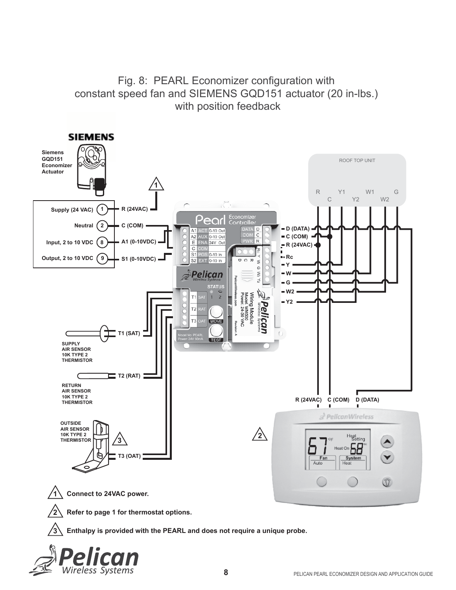

Fig. 8: PEARL Economizer configuration with constant speed fan and SIEMENS GQD151 actuator (20 in-lbs.)

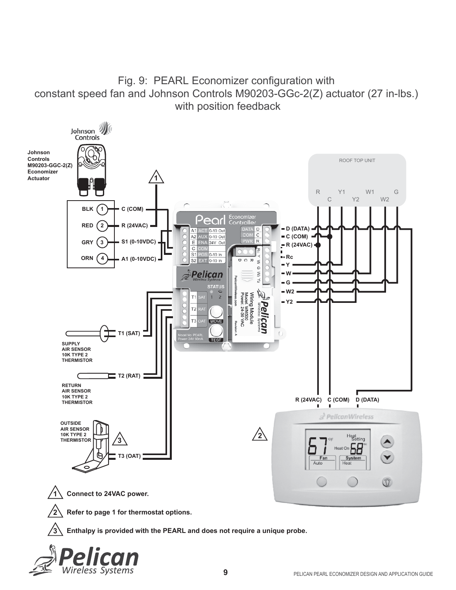